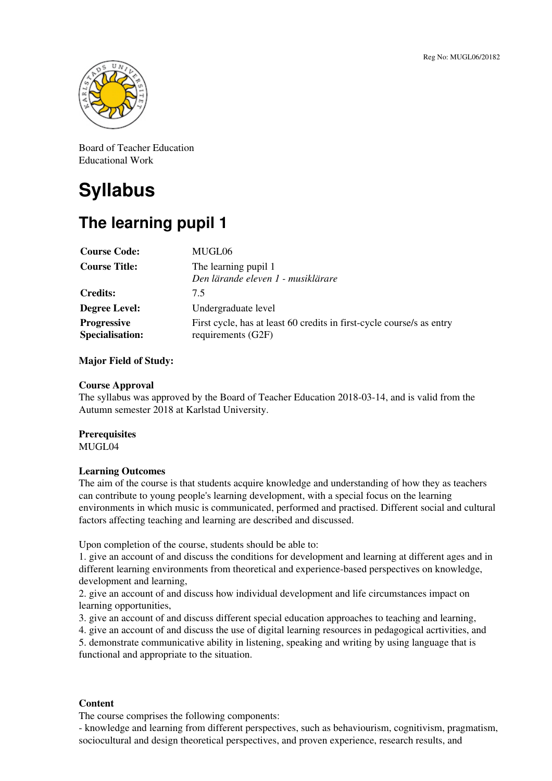

Board of Teacher Education Educational Work

# **Syllabus**

# **The learning pupil 1**

| <b>Course Code:</b>                          | MUGL06                                                                                      |
|----------------------------------------------|---------------------------------------------------------------------------------------------|
| <b>Course Title:</b>                         | The learning pupil 1<br>Den lärande eleven 1 - musiklärare                                  |
| <b>Credits:</b>                              | 7.5                                                                                         |
| <b>Degree Level:</b>                         | Undergraduate level                                                                         |
| <b>Progressive</b><br><b>Specialisation:</b> | First cycle, has at least 60 credits in first-cycle course/s as entry<br>requirements (G2F) |

# **Major Field of Study:**

#### **Course Approval**

The syllabus was approved by the Board of Teacher Education 2018-03-14, and is valid from the Autumn semester 2018 at Karlstad University.

## **Prerequisites**

MUGL04

## **Learning Outcomes**

The aim of the course is that students acquire knowledge and understanding of how they as teachers can contribute to young people's learning development, with a special focus on the learning environments in which music is communicated, performed and practised. Different social and cultural factors affecting teaching and learning are described and discussed.

Upon completion of the course, students should be able to:

1. give an account of and discuss the conditions for development and learning at different ages and in different learning environments from theoretical and experience-based perspectives on knowledge, development and learning,

2. give an account of and discuss how individual development and life circumstances impact on learning opportunities,

3. give an account of and discuss different special education approaches to teaching and learning,

4. give an account of and discuss the use of digital learning resources in pedagogical acrtivities, and

5. demonstrate communicative ability in listening, speaking and writing by using language that is functional and appropriate to the situation.

#### **Content**

The course comprises the following components:

- knowledge and learning from different perspectives, such as behaviourism, cognitivism, pragmatism, sociocultural and design theoretical perspectives, and proven experience, research results, and